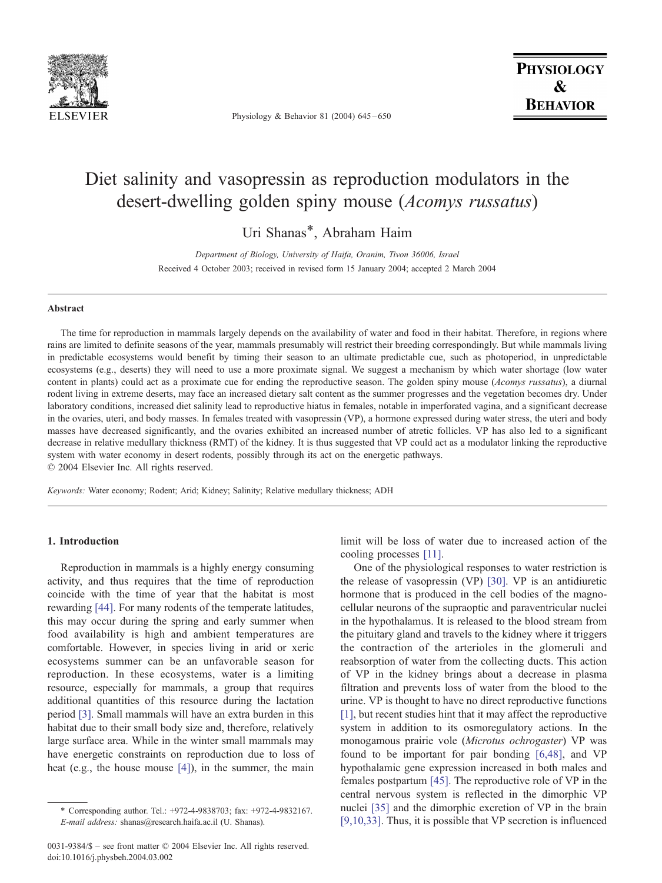

Physiology & Behavior 81 (2004) 645 – 650

# Diet salinity and vasopressin as reproduction modulators in the desert-dwelling golden spiny mouse (Acomys russatus)

Uri Shanas\*, Abraham Haim

Department of Biology, University of Haifa, Oranim, Tivon 36006, Israel Received 4 October 2003; received in revised form 15 January 2004; accepted 2 March 2004

#### Abstract

The time for reproduction in mammals largely depends on the availability of water and food in their habitat. Therefore, in regions where rains are limited to definite seasons of the year, mammals presumably will restrict their breeding correspondingly. But while mammals living in predictable ecosystems would benefit by timing their season to an ultimate predictable cue, such as photoperiod, in unpredictable ecosystems (e.g., deserts) they will need to use a more proximate signal. We suggest a mechanism by which water shortage (low water content in plants) could act as a proximate cue for ending the reproductive season. The golden spiny mouse (Acomys russatus), a diurnal rodent living in extreme deserts, may face an increased dietary salt content as the summer progresses and the vegetation becomes dry. Under laboratory conditions, increased diet salinity lead to reproductive hiatus in females, notable in imperforated vagina, and a significant decrease in the ovaries, uteri, and body masses. In females treated with vasopressin (VP), a hormone expressed during water stress, the uteri and body masses have decreased significantly, and the ovaries exhibited an increased number of atretic follicles. VP has also led to a significant decrease in relative medullary thickness (RMT) of the kidney. It is thus suggested that VP could act as a modulator linking the reproductive system with water economy in desert rodents, possibly through its act on the energetic pathways.  $© 2004 Elsevier Inc. All rights reserved.$ 

Keywords: Water economy; Rodent; Arid; Kidney; Salinity; Relative medullary thickness; ADH

# 1. Introduction

Reproduction in mammals is a highly energy consuming activity, and thus requires that the time of reproduction coincide with the time of year that the habitat is most rewarding [\[44\].](#page-5-0) For many rodents of the temperate latitudes, this may occur during the spring and early summer when food availability is high and ambient temperatures are comfortable. However, in species living in arid or xeric ecosystems summer can be an unfavorable season for reproduction. In these ecosystems, water is a limiting resource, especially for mammals, a group that requires additional quantities of this resource during the lactation period [\[3\].](#page-5-0) Small mammals will have an extra burden in this habitat due to their small body size and, therefore, relatively large surface area. While in the winter small mammals may have energetic constraints on reproduction due to loss of heat (e.g., the house mouse [\[4\]\)](#page-5-0), in the summer, the main

E-mail address: shanas@research.haifa.ac.il (U. Shanas).

limit will be loss of water due to increased action of the cooling processes [\[11\].](#page-5-0)

One of the physiological responses to water restriction is the release of vasopressin (VP) [\[30\].](#page-5-0) VP is an antidiuretic hormone that is produced in the cell bodies of the magnocellular neurons of the supraoptic and paraventricular nuclei in the hypothalamus. It is released to the blood stream from the pituitary gland and travels to the kidney where it triggers the contraction of the arterioles in the glomeruli and reabsorption of water from the collecting ducts. This action of VP in the kidney brings about a decrease in plasma filtration and prevents loss of water from the blood to the urine. VP is thought to have no direct reproductive functions [\[1\],](#page-5-0) but recent studies hint that it may affect the reproductive system in addition to its osmoregulatory actions. In the monogamous prairie vole (Microtus ochrogaster) VP was found to be important for pair bonding [\[6,48\],](#page-5-0) and VP hypothalamic gene expression increased in both males and females postpartum [\[45\].](#page-5-0) The reproductive role of VP in the central nervous system is reflected in the dimorphic VP nuclei [\[35\]](#page-5-0) and the dimorphic excretion of VP in the brain [\[9,10,33\].](#page-5-0) Thus, it is possible that VP secretion is influenced

<sup>\*</sup> Corresponding author. Tel.: +972-4-9838703; fax: +972-4-9832167.

<sup>0031-9384/\$ -</sup> see front matter © 2004 Elsevier Inc. All rights reserved. doi:10.1016/j.physbeh.2004.03.002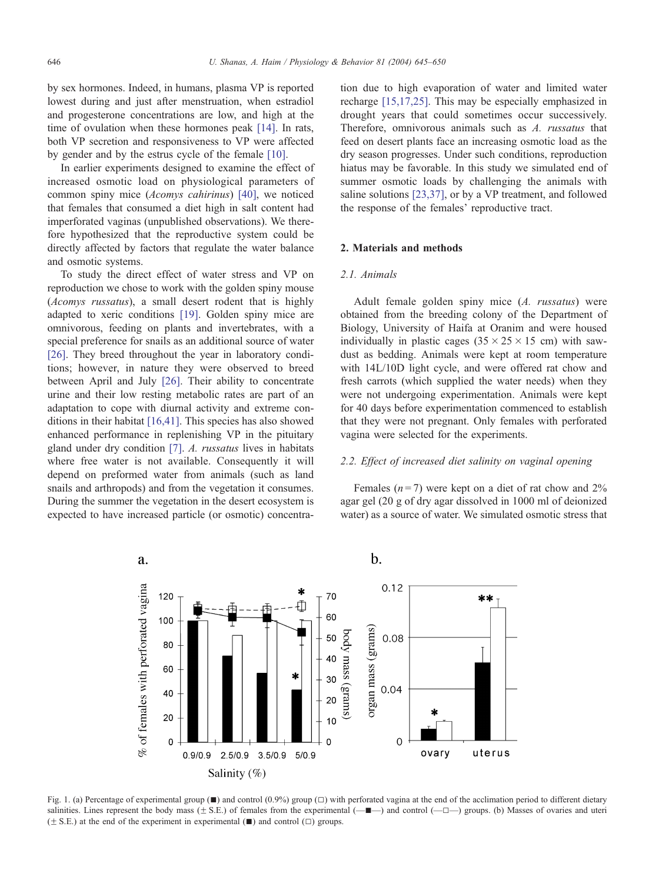<span id="page-1-0"></span>by sex hormones. Indeed, in humans, plasma VP is reported lowest during and just after menstruation, when estradiol and progesterone concentrations are low, and high at the time of ovulation when these hormones peak [\[14\].](#page-5-0) In rats, both VP secretion and responsiveness to VP were affected by gender and by the estrus cycle of the female [\[10\].](#page-5-0)

In earlier experiments designed to examine the effect of increased osmotic load on physiological parameters of common spiny mice (Acomys cahirinus) [\[40\],](#page-5-0) we noticed that females that consumed a diet high in salt content had imperforated vaginas (unpublished observations). We therefore hypothesized that the reproductive system could be directly affected by factors that regulate the water balance and osmotic systems.

To study the direct effect of water stress and VP on reproduction we chose to work with the golden spiny mouse (Acomys russatus), a small desert rodent that is highly adapted to xeric conditions [\[19\].](#page-5-0) Golden spiny mice are omnivorous, feeding on plants and invertebrates, with a special preference for snails as an additional source of water [\[26\].](#page-5-0) They breed throughout the year in laboratory conditions; however, in nature they were observed to breed between April and July [\[26\].](#page-5-0) Their ability to concentrate urine and their low resting metabolic rates are part of an adaptation to cope with diurnal activity and extreme conditions in their habitat [\[16,41\].](#page-5-0) This species has also showed enhanced performance in replenishing VP in the pituitary gland under dry condition [\[7\].](#page-5-0) A. russatus lives in habitats where free water is not available. Consequently it will depend on preformed water from animals (such as land snails and arthropods) and from the vegetation it consumes. During the summer the vegetation in the desert ecosystem is expected to have increased particle (or osmotic) concentration due to high evaporation of water and limited water recharge [\[15,17,25\].](#page-5-0) This may be especially emphasized in drought years that could sometimes occur successively. Therefore, omnivorous animals such as A. russatus that feed on desert plants face an increasing osmotic load as the dry season progresses. Under such conditions, reproduction hiatus may be favorable. In this study we simulated end of summer osmotic loads by challenging the animals with saline solutions [\[23,37\],](#page-5-0) or by a VP treatment, and followed the response of the females' reproductive tract.

# 2. Materials and methods

# 2.1. Animals

Adult female golden spiny mice (A. russatus) were obtained from the breeding colony of the Department of Biology, University of Haifa at Oranim and were housed individually in plastic cages  $(35 \times 25 \times 15$  cm) with sawdust as bedding. Animals were kept at room temperature with 14L/10D light cycle, and were offered rat chow and fresh carrots (which supplied the water needs) when they were not undergoing experimentation. Animals were kept for 40 days before experimentation commenced to establish that they were not pregnant. Only females with perforated vagina were selected for the experiments.

## 2.2. Effect of increased diet salinity on vaginal opening

Females  $(n=7)$  were kept on a diet of rat chow and 2% agar gel (20 g of dry agar dissolved in 1000 ml of deionized water) as a source of water. We simulated osmotic stress that



Fig. 1. (a) Percentage of experimental group  $(1)$  and control  $(0.9%)$  group  $(1)$  with perforated vagina at the end of the acclimation period to different dietary salinities. Lines represent the body mass  $(\pm S.E.)$  of females from the experimental  $(\pm \blacksquare \rightarrow )$  and control  $(\pm \square \rightarrow )$  groups. (b) Masses of ovaries and uteri  $(\pm$  S.E.) at the end of the experiment in experimental ( $\blacksquare$ ) and control ( $\Box$ ) groups.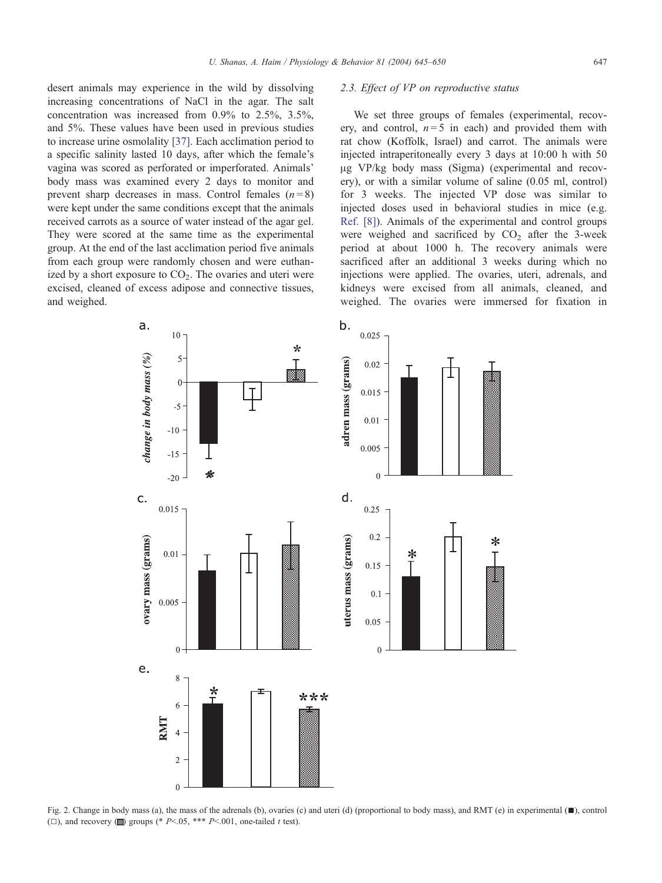<span id="page-2-0"></span>desert animals may experience in the wild by dissolving increasing concentrations of NaCl in the agar. The salt concentration was increased from 0.9% to 2.5%, 3.5%, and 5%. These values have been used in previous studies to increase urine osmolality [\[37\].](#page-5-0) Each acclimation period to a specific salinity lasted 10 days, after which the female's vagina was scored as perforated or imperforated. Animals' body mass was examined every 2 days to monitor and prevent sharp decreases in mass. Control females  $(n=8)$ were kept under the same conditions except that the animals received carrots as a source of water instead of the agar gel. They were scored at the same time as the experimental group. At the end of the last acclimation period five animals from each group were randomly chosen and were euthanized by a short exposure to  $CO<sub>2</sub>$ . The ovaries and uteri were excised, cleaned of excess adipose and connective tissues, and weighed.

## 2.3. Effect of VP on reproductive status

We set three groups of females (experimental, recovery, and control,  $n = 5$  in each) and provided them with rat chow (Koffolk, Israel) and carrot. The animals were injected intraperitoneally every 3 days at 10:00 h with 50 Ag VP/kg body mass (Sigma) (experimental and recovery), or with a similar volume of saline (0.05 ml, control) for 3 weeks. The injected VP dose was similar to injected doses used in behavioral studies in mice (e.g. [Ref. \[8\]\)](#page-5-0). Animals of the experimental and control groups were weighed and sacrificed by  $CO<sub>2</sub>$  after the 3-week period at about 1000 h. The recovery animals were sacrificed after an additional 3 weeks during which no injections were applied. The ovaries, uteri, adrenals, and kidneys were excised from all animals, cleaned, and weighed. The ovaries were immersed for fixation in



Fig. 2. Change in body mass (a), the mass of the adrenals (b), ovaries (c) and uteri (d) (proportional to body mass), and RMT (e) in experimental  $(\blacksquare)$ , control ( $\Box$ ), and recovery ( $\Box$ ) groups (\* P<.05, \*\*\* P<.001, one-tailed t test).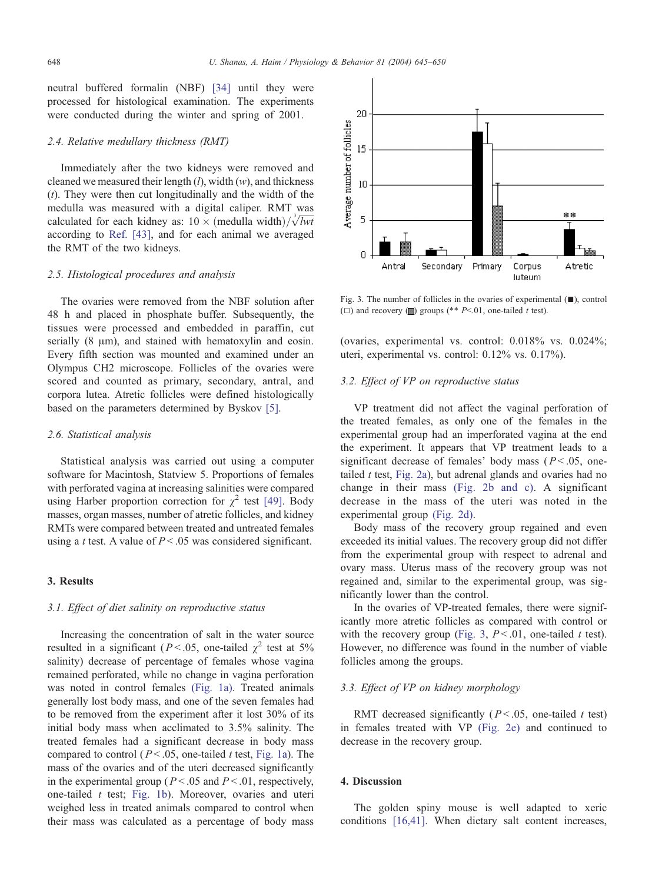neutral buffered formalin (NBF) [\[34\]](#page-5-0) until they were processed for histological examination. The experiments were conducted during the winter and spring of 2001.

## 2.4. Relative medullary thickness (RMT)

Immediately after the two kidneys were removed and cleaned we measured their length  $(l)$ , width  $(w)$ , and thickness  $(t)$ . They were then cut longitudinally and the width of the medulla was measured with a digital caliper. RMT was medullated for each kidney as:  $10 \times \text{(modulla width)} / \sqrt[3]{lwt}$ according to [Ref. \[43\],](#page-5-0) and for each animal we averaged the RMT of the two kidneys.

## 2.5. Histological procedures and analysis

The ovaries were removed from the NBF solution after 48 h and placed in phosphate buffer. Subsequently, the tissues were processed and embedded in paraffin, cut serially  $(8 \mu m)$ , and stained with hematoxylin and eosin. Every fifth section was mounted and examined under an Olympus CH2 microscope. Follicles of the ovaries were scored and counted as primary, secondary, antral, and corpora lutea. Atretic follicles were defined histologically based on the parameters determined by Byskov [\[5\].](#page-5-0)

#### 2.6. Statistical analysis

Statistical analysis was carried out using a computer software for Macintosh, Statview 5. Proportions of females with perforated vagina at increasing salinities were compared using Harber proportion correction for  $\chi^2$  test [\[49\].](#page-5-0) Body masses, organ masses, number of atretic follicles, and kidney RMTs were compared between treated and untreated females using a t test. A value of  $P < 0.05$  was considered significant.

# 3. Results

# 3.1. Effect of diet salinity on reproductive status

Increasing the concentration of salt in the water source resulted in a significant ( $P < .05$ , one-tailed  $\chi^2$  test at 5% salinity) decrease of percentage of females whose vagina remained perforated, while no change in vagina perforation was noted in control females [\(Fig. 1a\).](#page-1-0) Treated animals generally lost body mass, and one of the seven females had to be removed from the experiment after it lost 30% of its initial body mass when acclimated to 3.5% salinity. The treated females had a significant decrease in body mass compared to control ( $P < .05$ , one-tailed t test, [Fig. 1a\)](#page-1-0). The mass of the ovaries and of the uteri decreased significantly in the experimental group ( $P < .05$  and  $P < .01$ , respectively, one-tailed  $t$  test; [Fig. 1b\)](#page-1-0). Moreover, ovaries and uteri weighed less in treated animals compared to control when their mass was calculated as a percentage of body mass



Fig. 3. The number of follicles in the ovaries of experimental  $(\blacksquare)$ , control ( $\Box$ ) and recovery ( $\Box$ ) groups (\*\* P<.01, one-tailed t test).

(ovaries, experimental vs. control: 0.018% vs. 0.024%; uteri, experimental vs. control: 0.12% vs. 0.17%).

## 3.2. Effect of VP on reproductive status

VP treatment did not affect the vaginal perforation of the treated females, as only one of the females in the experimental group had an imperforated vagina at the end the experiment. It appears that VP treatment leads to a significant decrease of females' body mass ( $P < .05$ , onetailed  $t$  test, [Fig. 2a\)](#page-2-0), but adrenal glands and ovaries had no change in their mass [\(Fig. 2b and c\).](#page-2-0) A significant decrease in the mass of the uteri was noted in the experimental group [\(Fig. 2d\).](#page-2-0)

Body mass of the recovery group regained and even exceeded its initial values. The recovery group did not differ from the experimental group with respect to adrenal and ovary mass. Uterus mass of the recovery group was not regained and, similar to the experimental group, was significantly lower than the control.

In the ovaries of VP-treated females, there were significantly more atretic follicles as compared with control or with the recovery group (Fig. 3,  $P < 0.01$ , one-tailed t test). However, no difference was found in the number of viable follicles among the groups.

## 3.3. Effect of VP on kidney morphology

RMT decreased significantly ( $P < .05$ , one-tailed t test) in females treated with VP [\(Fig. 2e\)](#page-2-0) and continued to decrease in the recovery group.

## 4. Discussion

The golden spiny mouse is well adapted to xeric conditions [\[16,41\].](#page-5-0) When dietary salt content increases,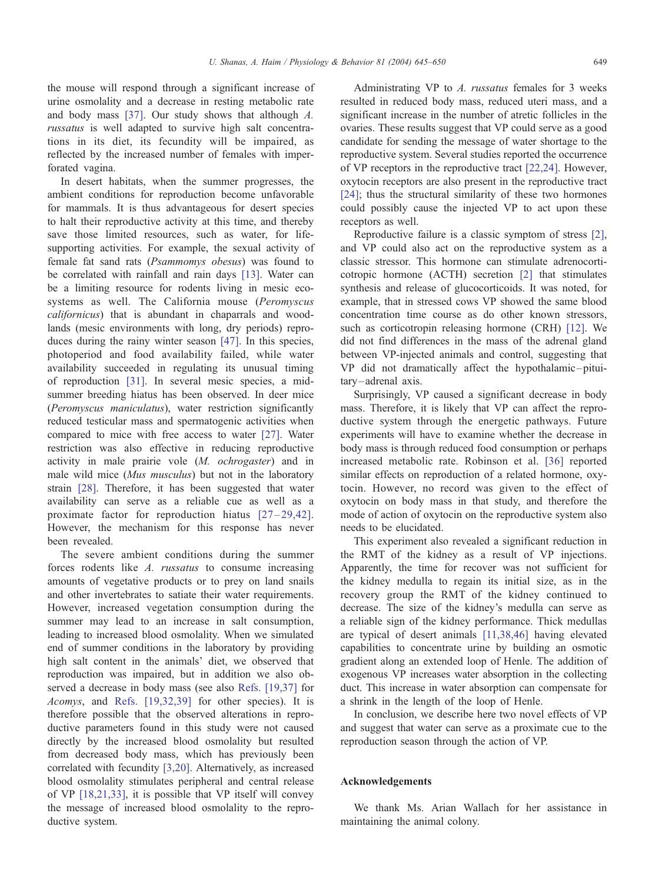the mouse will respond through a significant increase of urine osmolality and a decrease in resting metabolic rate and body mass [\[37\].](#page-5-0) Our study shows that although A. russatus is well adapted to survive high salt concentrations in its diet, its fecundity will be impaired, as reflected by the increased number of females with imperforated vagina.

In desert habitats, when the summer progresses, the ambient conditions for reproduction become unfavorable for mammals. It is thus advantageous for desert species to halt their reproductive activity at this time, and thereby save those limited resources, such as water, for lifesupporting activities. For example, the sexual activity of female fat sand rats (Psammomys obesus) was found to be correlated with rainfall and rain days [\[13\].](#page-5-0) Water can be a limiting resource for rodents living in mesic ecosystems as well. The California mouse (Peromyscus californicus) that is abundant in chaparrals and woodlands (mesic environments with long, dry periods) reproduces during the rainy winter season [\[47\].](#page-5-0) In this species, photoperiod and food availability failed, while water availability succeeded in regulating its unusual timing of reproduction [\[31\].](#page-5-0) In several mesic species, a midsummer breeding hiatus has been observed. In deer mice (Peromyscus maniculatus), water restriction significantly reduced testicular mass and spermatogenic activities when compared to mice with free access to water [\[27\].](#page-5-0) Water restriction was also effective in reducing reproductive activity in male prairie vole (M. ochrogaster) and in male wild mice (*Mus musculus*) but not in the laboratory strain [\[28\].](#page-5-0) Therefore, it has been suggested that water availability can serve as a reliable cue as well as a proximate factor for reproduction hiatus  $[27-29,42]$ . However, the mechanism for this response has never been revealed.

The severe ambient conditions during the summer forces rodents like A. russatus to consume increasing amounts of vegetative products or to prey on land snails and other invertebrates to satiate their water requirements. However, increased vegetation consumption during the summer may lead to an increase in salt consumption, leading to increased blood osmolality. When we simulated end of summer conditions in the laboratory by providing high salt content in the animals' diet, we observed that reproduction was impaired, but in addition we also observed a decrease in body mass (see also [Refs. \[19,37\]](#page-5-0) for Acomys, and [Refs. \[19,32,39\]](#page-5-0) for other species). It is therefore possible that the observed alterations in reproductive parameters found in this study were not caused directly by the increased blood osmolality but resulted from decreased body mass, which has previously been correlated with fecundity [\[3,20\].](#page-5-0) Alternatively, as increased blood osmolality stimulates peripheral and central release of VP [\[18,21,33\],](#page-5-0) it is possible that VP itself will convey the message of increased blood osmolality to the reproductive system.

Administrating VP to A. russatus females for 3 weeks resulted in reduced body mass, reduced uteri mass, and a significant increase in the number of atretic follicles in the ovaries. These results suggest that VP could serve as a good candidate for sending the message of water shortage to the reproductive system. Several studies reported the occurrence of VP receptors in the reproductive tract [\[22,24\].](#page-5-0) However, oxytocin receptors are also present in the reproductive tract [\[24\];](#page-5-0) thus the structural similarity of these two hormones could possibly cause the injected VP to act upon these receptors as well.

Reproductive failure is a classic symptom of stress [\[2\],](#page-5-0) and VP could also act on the reproductive system as a classic stressor. This hormone can stimulate adrenocorticotropic hormone (ACTH) secretion [\[2\]](#page-5-0) that stimulates synthesis and release of glucocorticoids. It was noted, for example, that in stressed cows VP showed the same blood concentration time course as do other known stressors, such as corticotropin releasing hormone (CRH) [\[12\].](#page-5-0) We did not find differences in the mass of the adrenal gland between VP-injected animals and control, suggesting that VP did not dramatically affect the hypothalamic – pituitary-adrenal axis.

Surprisingly, VP caused a significant decrease in body mass. Therefore, it is likely that VP can affect the reproductive system through the energetic pathways. Future experiments will have to examine whether the decrease in body mass is through reduced food consumption or perhaps increased metabolic rate. Robinson et al. [\[36\]](#page-5-0) reported similar effects on reproduction of a related hormone, oxytocin. However, no record was given to the effect of oxytocin on body mass in that study, and therefore the mode of action of oxytocin on the reproductive system also needs to be elucidated.

This experiment also revealed a significant reduction in the RMT of the kidney as a result of VP injections. Apparently, the time for recover was not sufficient for the kidney medulla to regain its initial size, as in the recovery group the RMT of the kidney continued to decrease. The size of the kidney's medulla can serve as a reliable sign of the kidney performance. Thick medullas are typical of desert animals [\[11,38,46\]](#page-5-0) having elevated capabilities to concentrate urine by building an osmotic gradient along an extended loop of Henle. The addition of exogenous VP increases water absorption in the collecting duct. This increase in water absorption can compensate for a shrink in the length of the loop of Henle.

In conclusion, we describe here two novel effects of VP and suggest that water can serve as a proximate cue to the reproduction season through the action of VP.

#### Acknowledgements

We thank Ms. Arian Wallach for her assistance in maintaining the animal colony.